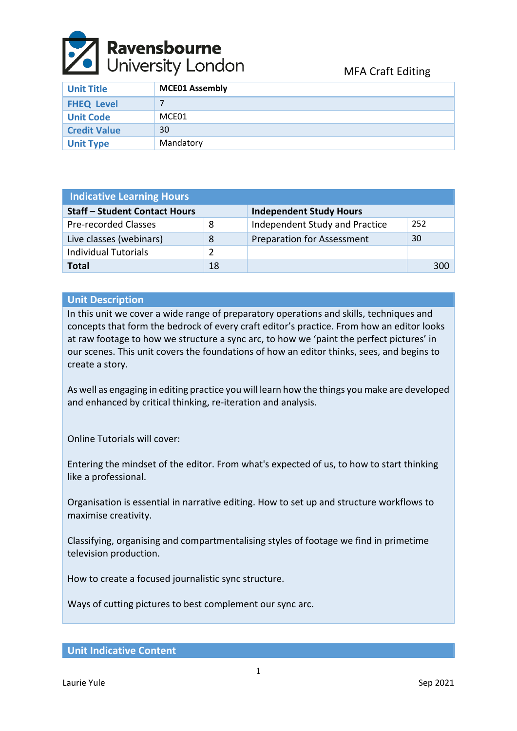

| <b>Unit Title</b>   | <b>MCE01 Assembly</b> |
|---------------------|-----------------------|
| <b>FHEQ Level</b>   |                       |
| <b>Unit Code</b>    | MCE01                 |
| <b>Credit Value</b> | 30                    |
| <b>Unit Type</b>    | Mandatory             |

| <b>Indicative Learning Hours</b>     |    |                                   |     |  |  |
|--------------------------------------|----|-----------------------------------|-----|--|--|
| <b>Staff - Student Contact Hours</b> |    | <b>Independent Study Hours</b>    |     |  |  |
| <b>Pre-recorded Classes</b>          | 8  | Independent Study and Practice    | 252 |  |  |
| Live classes (webinars)              | 8  | <b>Preparation for Assessment</b> | 30  |  |  |
| <b>Individual Tutorials</b>          | 2  |                                   |     |  |  |
| Total                                | 18 |                                   | 300 |  |  |

# **Unit Description**

In this unit we cover a wide range of preparatory operations and skills, techniques and concepts that form the bedrock of every craft editor's practice. From how an editor looks at raw footage to how we structure a sync arc, to how we 'paint the perfect pictures' in our scenes. This unit covers the foundations of how an editor thinks, sees, and begins to create a story.

As well as engaging in editing practice you will learn how the things you make are developed and enhanced by critical thinking, re-iteration and analysis.

Online Tutorials will cover:

Entering the mindset of the editor. From what's expected of us, to how to start thinking like a professional.

Organisation is essential in narrative editing. How to set up and structure workflows to maximise creativity.

Classifying, organising and compartmentalising styles of footage we find in primetime television production.

How to create a focused journalistic sync structure.

Ways of cutting pictures to best complement our sync arc.

**Unit Indicative Content**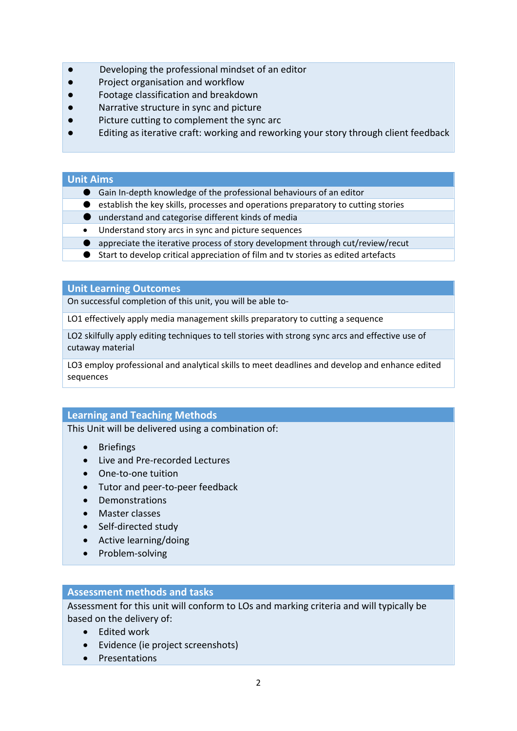- Developing the professional mindset of an editor
- Project organisation and workflow
- Footage classification and breakdown
- Narrative structure in sync and picture
- Picture cutting to complement the sync arc
- Editing as iterative craft: working and reworking your story through client feedback

### **Unit Aims**

- Gain In-depth knowledge of the professional behaviours of an editor
- establish the key skills, processes and operations preparatory to cutting stories
- understand and categorise different kinds of media
- Understand story arcs in sync and picture sequences
- appreciate the iterative process of story development through cut/review/recut
- Start to develop critical appreciation of film and tv stories as edited artefacts

#### **Unit Learning Outcomes**

On successful completion of this unit, you will be able to-

LO1 effectively apply media management skills preparatory to cutting a sequence

LO2 skilfully apply editing techniques to tell stories with strong sync arcs and effective use of cutaway material

LO3 employ professional and analytical skills to meet deadlines and develop and enhance edited sequences

# **Learning and Teaching Methods**

This Unit will be delivered using a combination of:

- Briefings
- Live and Pre-recorded Lectures
- One-to-one tuition
- Tutor and peer-to-peer feedback
- Demonstrations
- Master classes
- Self-directed study
- Active learning/doing
- Problem-solving

# **Assessment methods and tasks**

Assessment for this unit will conform to LOs and marking criteria and will typically be based on the delivery of:

- Edited work
- Evidence (ie project screenshots)
- Presentations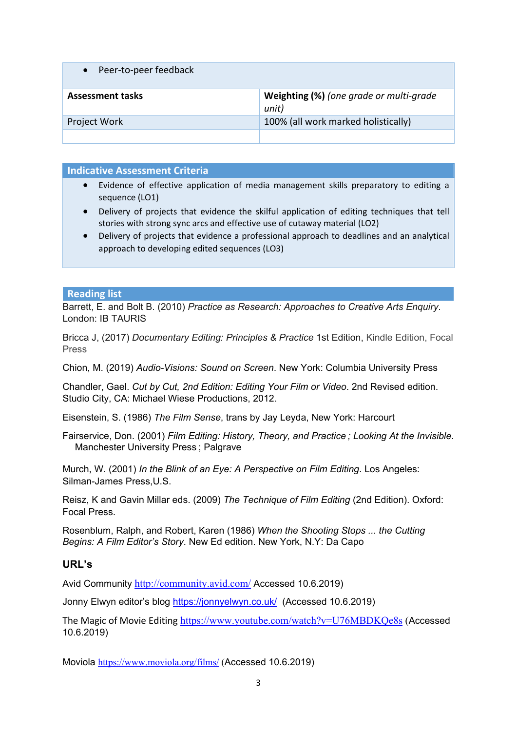| Peer-to-peer feedback   |                                                  |
|-------------------------|--------------------------------------------------|
| <b>Assessment tasks</b> | Weighting (%) (one grade or multi-grade<br>unit) |
| Project Work            | 100% (all work marked holistically)              |
|                         |                                                  |

### **Indicative Assessment Criteria**

- Evidence of effective application of media management skills preparatory to editing a sequence (LO1)
- Delivery of projects that evidence the skilful application of editing techniques that tell stories with strong sync arcs and effective use of cutaway material (LO2)
- Delivery of projects that evidence a professional approach to deadlines and an analytical approach to developing edited sequences (LO3)

#### **Reading list**

Barrett, E. and Bolt B. (2010) *Practice as Research: Approaches to Creative Arts Enquiry*. London: IB TAURIS

Bricca J, (2017) *Documentary Editing: Principles & Practice* 1st Edition, Kindle Edition, Focal Press

Chion, M. (2019) *Audio-Visions: Sound on Screen*. New York: Columbia University Press

Chandler, Gael. *Cut by Cut, 2nd Edition: Editing Your Film or Video*. 2nd Revised edition. Studio City, CA: Michael Wiese Productions, 2012.

Eisenstein, S. (1986) *The Film Sense*, trans by Jay Leyda, New York: Harcourt

Fairservice, Don. (2001) *Film Editing: History, Theory, and Practice ; Looking At the Invisible*. Manchester University Press ; Palgrave

Murch, W. (2001) *In the Blink of an Eye: A Perspective on Film Editing*. Los Angeles: Silman-James Press,U.S.

Reisz, K and Gavin Millar eds. (2009) *The Technique of Film Editing* (2nd Edition). Oxford: Focal Press.

Rosenblum, Ralph, and Robert, Karen (1986) *When the Shooting Stops ... the Cutting Begins: A Film Editor's Story*. New Ed edition. New York, N.Y: Da Capo

# **URL's**

Avid Community <http://community.avid.com/> Accessed 10.6.2019)

Jonny Elwyn editor's blog <https://jonnyelwyn.co.uk/>(Accessed 10.6.2019)

The Magic of Movie Editing <https://www.youtube.com/watch?v=U76MBDKQe8s> (Accessed 10.6.2019)

Moviola <https://www.moviola.org/films/> (Accessed 10.6.2019)